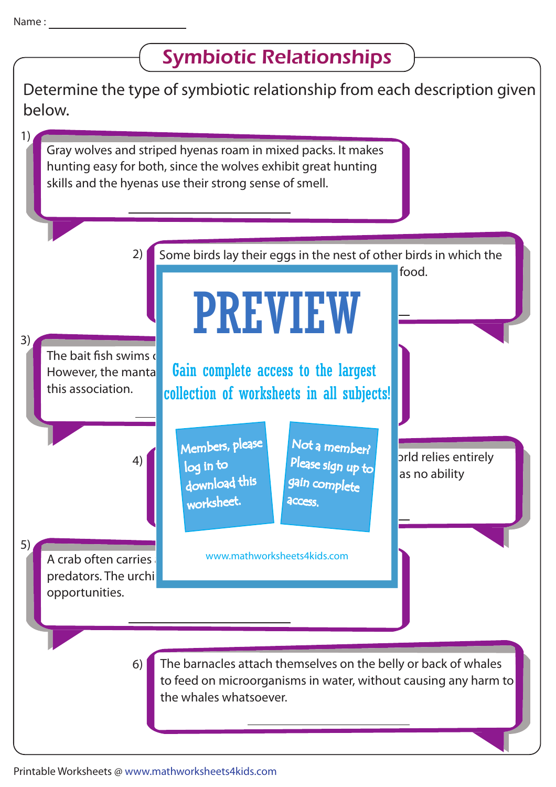## Determine the type of symbiotic relationship from each description given below. 3) The bait fish swims  $\epsilon$ However, the manta **Gain complete access to the largest** this association. Some birds lay their eggs in the nest of other birds in which the babies of the host are deprived of the host are deprived of the host are deprived of the host are  $\sim$ 2) prld relies entirely as no ability download this 4) A crab often carries predators. The urchi opportunities. 5) The barnacles attach themselves on the belly or back of whales to feed on microorganisms in water, without causing any harm to the whales whatsoever. 6) 1) Gray wolves and striped hyenas roam in mixed packs. It makes hunting easy for both, since the wolves exhibit great hunting skills and the hyenas use their strong sense of smell. Symbiotic Relationships PREVIEW www.mathworksheets4kids.com Members, please worksheet. log in to Not a member? gain complete Please sign up to **access** collection of worksheets in all subjects!